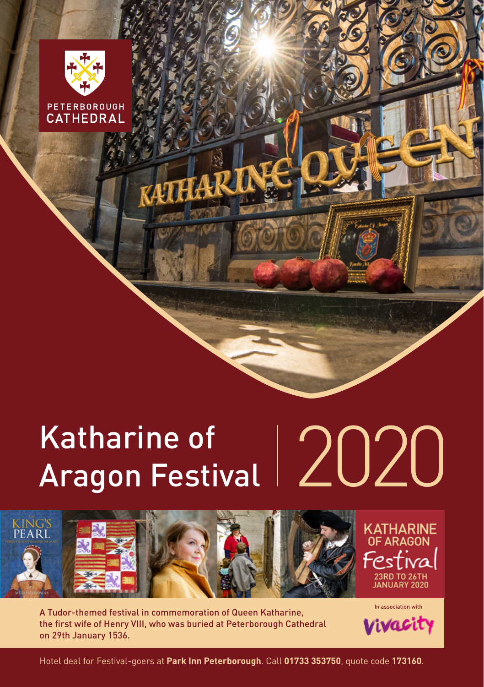

# Katharine of Katharine of 2020<br>Aragon Festival 2020



A Tudor-themed festival in commemoration of Queen Katharine, the first wife of Henry VIII, who was buried at Peterborough Cathedral on 29th January 1536.

ATHA

In association withivacity

Hotel deal for Festival-goers at **Park Inn Peterborough**. Call **01733 353750**, quote code **173160**.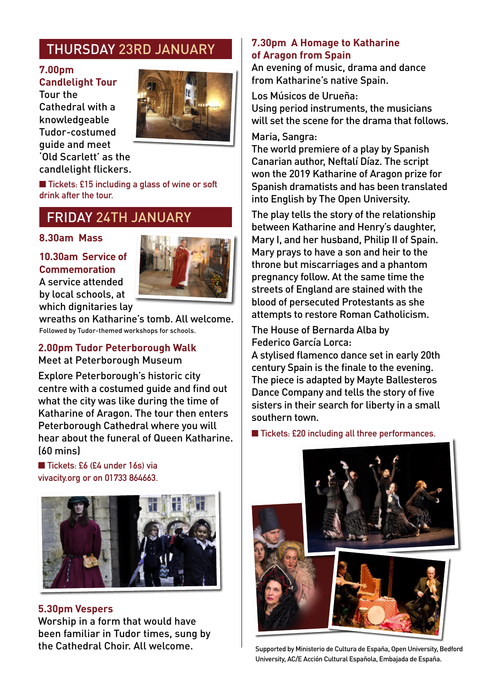# THURSDAY 23RD JANUARY

**7.00pm Candlelight Tour**

Tour the Cathedral with a knowledgeable Tudor-costumed guide and meet 'Old Scarlett' as the candlelight flickers.



■ Tickets: £15 including a glass of wine or soft **drink after the tour.** 

# FRIDAY 24TH JANUARY

#### **8.30am Mass**

#### **10.30am Service of Commemoration**



A service attended by local schools, at which dignitaries lay

wreaths on Katharine's tomb. All welcome. Followed by Tudor-themed workshops for schools.

### **2.00pm Tudor Peterborough Walk**

Meet at Peterborough Museum

Explore Peterborough's historic city centre with a costumed guide and find out what the city was like during the time of Katharine of Aragon. The tour then enters Peterborough Cathedral where you will hear about the funeral of Queen Katharine. (60 mins)

■ **Tickets: £6 (£4 under 16s) via vivacity.org or on 01733 864663.**



#### **5.30pm Vespers**

Worship in a form that would have been familiar in Tudor times, sung by the Cathedral Choir. All welcome.

#### **7.30pm A Homage to Katharine of Aragon from Spain**

An evening of music, drama and dance from Katharine's native Spain.

Los Músicos de Urueña: Using period instruments, the musicians will set the scene for the drama that follows.

#### Maria, Sangra:

The world premiere of a play by Spanish Canarian author, Neftalí Díaz. The script won the 2019 Katharine of Aragon prize for Spanish dramatists and has been translated into English by The Open University.

The play tells the story of the relationship between Katharine and Henry's daughter, Mary I, and her husband, Philip II of Spain. Mary prays to have a son and heir to the throne but miscarriages and a phantom pregnancy follow. At the same time the streets of England are stained with the blood of persecuted Protestants as she attempts to restore Roman Catholicism.

The House of Bernarda Alba by Federico García Lorca:

A stylised flamenco dance set in early 20th century Spain is the finale to the evening. The piece is adapted by Mayte Ballesteros Dance Company and tells the story of five sisters in their search for liberty in a small southern town.

■ Tickets: £20 including all three performances.



Supported by Ministerio de Cultura de España, Open University, Bedford University, AC/E Acción Cultural Española, Embajada de España.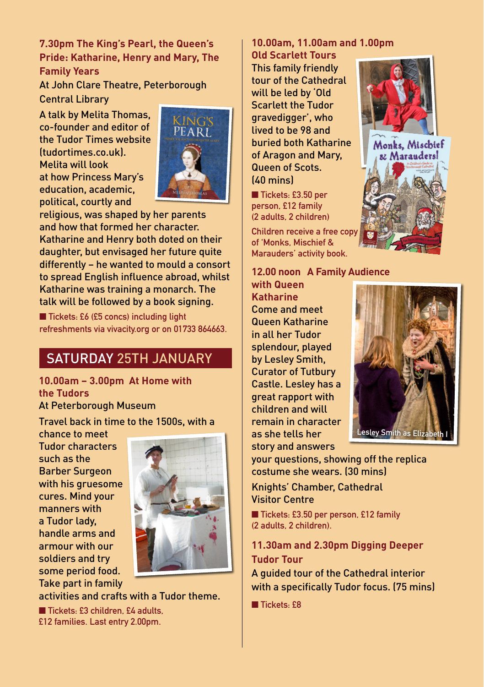#### **7.30pm The King's Pearl, the Queen's Pride: Katharine, Henry and Mary, The Family Years**

At John Clare Theatre, Peterborough Central Library

A talk by Melita Thomas, co-founder and editor of the Tudor Times website (tudortimes.co.uk). Melita will look at how Princess Mary's education, academic, political, courtly and



religious, was shaped by her parents and how that formed her character. Katharine and Henry both doted on their daughter, but envisaged her future quite differently – he wanted to mould a consort to spread English influence abroad, whilst Katharine was training a monarch. The talk will be followed by a book signing.

■ Tickets: £6 (£5 concs) including light **refreshments via vivacity.org or on 01733 864663.**

# SATURDAY 25TH JANUARY

**10.00am – 3.00pm At Home with the Tudors** 

At Peterborough Museum

Travel back in time to the 1500s, with a

chance to meet Tudor characters such as the Barber Surgeon with his gruesome cures. Mind your manners with a Tudor lady, handle arms and armour with our soldiers and try some period food. Take part in family



activities and crafts with a Tudor theme.

■ **Tickets: £3 children, £4 adults, £12 families. Last entry 2.00pm.** 

#### **10.00am, 11.00am and 1.00pm Old Scarlett Tours**

This family friendly tour of the Cathedral will be led by 'Old Scarlett the Tudor gravedigger', who lived to be 98 and buried both Katharine of Aragon and Mary, Queen of Scots. (40 mins)

■ **Tickets: £3.50 per person, £12 family (2 adults, 2 children)**

**Children receive a free copy of 'Monks, Mischief & Marauders' activity book.** 

**12.00 noon A Family Audience**

**with Queen Katharine** Come and meet Queen Katharine in all her Tudor splendour, played by Lesley Smith, Curator of Tutbury Castle. Lesley has a great rapport with children and will remain in character as she tells her story and answers



your questions, showing off the replica costume she wears. (30 mins)

Knights' Chamber, Cathedral Visitor Centre

■ **Tickets: £3.50 per person, £12 family (2 adults, 2 children).** 

**11.30am and 2.30pm Digging Deeper Tudor Tour**  A guided tour of the Cathedral interior

with a specifically Tudor focus. (75 mins)

■ **Tickets: £8**